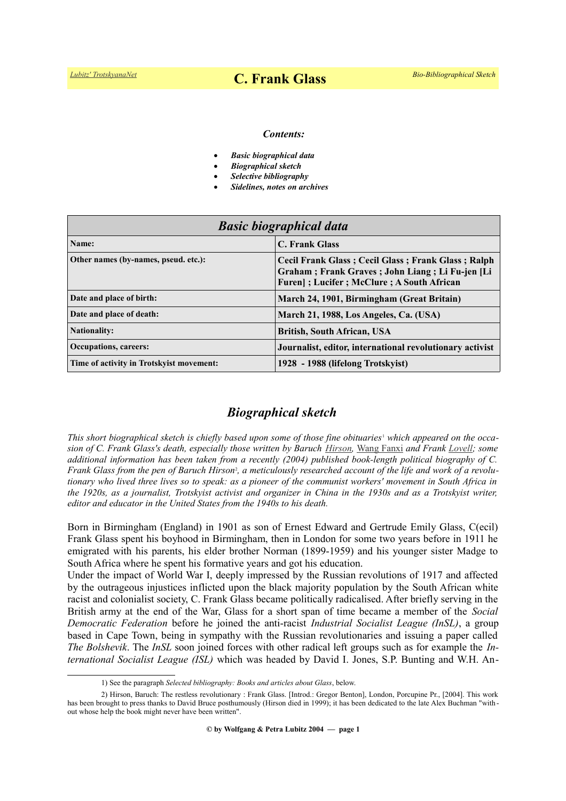#### *Contents:*

- *Basic biographical data*
- *Biographical sketch*
- *Selective bibliography*
- *Sidelines, notes on archives*

| <b>Basic biographical data</b>            |                                                                                                                                                    |
|-------------------------------------------|----------------------------------------------------------------------------------------------------------------------------------------------------|
| Name:                                     | <b>C. Frank Glass</b>                                                                                                                              |
| Other names (by-names, pseud. etc.):      | Cecil Frank Glass; Cecil Glass; Frank Glass; Ralph<br>Graham; Frank Graves; John Liang; Li Fu-jen [Li<br>Furen]; Lucifer; McClure; A South African |
| Date and place of birth:                  | March 24, 1901, Birmingham (Great Britain)                                                                                                         |
| Date and place of death:                  | March 21, 1988, Los Angeles, Ca. (USA)                                                                                                             |
| <b>Nationality:</b>                       | British, South African, USA                                                                                                                        |
| <b>Occupations, careers:</b>              | Journalist, editor, international revolutionary activist                                                                                           |
| Time of activity in Trotsky ist movement: | 1928 - 1988 (lifelong Trotskyist)                                                                                                                  |

## *Biographical sketch*

This short biographical sketch is chiefly based upon some of those fine obituaries<sup>[1](#page-0-0)</sup> which appeared on the occa*sion of C. Frank Glass's death, especially those written by Baruch [Hirson,](https://www.trotskyana.net/Trotskyists/Bio-Bibliographies/bio-bibl_hirson.pdf)* [Wang Fanxi](https://en.wikipedia.org/wiki/Wang_Fanxi) *and Frank [Lovell;](https://www.trotskyana.net/Trotskyists/Bio-Bibliographies/bio-bibl_lovell_f.pdf) some additional information has been taken from a recently (2004) published book-length political biography of C.* Fra[n](#page-0-1)k Glass from the pen of Baruch Hirson<sup>2</sup>, a meticulously researched account of the life and work of a revolu*tionary who lived three lives so to speak: as a pioneer of the communist workers' movement in South Africa in the 1920s, as a journalist, Trotskyist activist and organizer in China in the 1930s and as a Trotskyist writer, editor and educator in the United States from the 1940s to his death.*

Born in Birmingham (England) in 1901 as son of Ernest Edward and Gertrude Emily Glass, C(ecil) Frank Glass spent his boyhood in Birmingham, then in London for some two years before in 1911 he emigrated with his parents, his elder brother Norman (1899-1959) and his younger sister Madge to South Africa where he spent his formative years and got his education.

Under the impact of World War I, deeply impressed by the Russian revolutions of 1917 and affected by the outrageous injustices inflicted upon the black majority population by the South African white racist and colonialist society, C. Frank Glass became politically radicalised. After briefly serving in the British army at the end of the War, Glass for a short span of time became a member of the *Social Democratic Federation* before he joined the anti-racist *Industrial Socialist League (InSL)*, a group based in Cape Town, being in sympathy with the Russian revolutionaries and issuing a paper called *The Bolshevik*. The *InSL* soon joined forces with other radical left groups such as for example the *International Socialist League (ISL)* which was headed by David I. Jones, S.P. Bunting and W.H. An-

<span id="page-0-1"></span><span id="page-0-0"></span><sup>1)</sup> See the paragraph *Selected bibliography: Books and articles about Glass*, below.

<sup>2)</sup> Hirson, Baruch: The restless revolutionary : Frank Glass. [Introd.: Gregor Benton], London, Porcupine Pr., [2004]. This work has been brought to press thanks to David Bruce posthumously (Hirson died in 1999); it has been dedicated to the late Alex Buchman "without whose help the book might never have been written".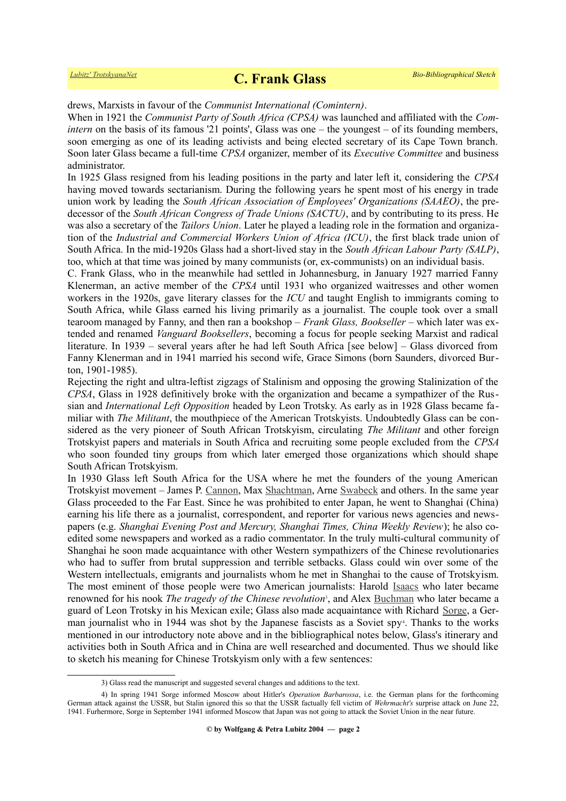drews, Marxists in favour of the *Communist International (Comintern)*.

When in 1921 the *Communist Party of South Africa (CPSA)* was launched and affiliated with the *Comintern* on the basis of its famous '21 points', Glass was one – the youngest – of its founding members, soon emerging as one of its leading activists and being elected secretary of its Cape Town branch. Soon later Glass became a full-time *CPSA* organizer, member of its *Executive Committee* and business administrator.

In 1925 Glass resigned from his leading positions in the party and later left it, considering the *CPSA* having moved towards sectarianism. During the following years he spent most of his energy in trade union work by leading the *South African Association of Employees' Organizations (SAAEO)*, the predecessor of the *South African Congress of Trade Unions (SACTU)*, and by contributing to its press. He was also a secretary of the *Tailors Union*. Later he played a leading role in the formation and organization of the *Industrial and Commercial Workers Union of Africa (ICU)*, the first black trade union of South Africa. In the mid-1920s Glass had a short-lived stay in the *South African Labour Party (SALP)*, too, which at that time was joined by many communists (or, ex-communists) on an individual basis.

C. Frank Glass, who in the meanwhile had settled in Johannesburg, in January 1927 married Fanny Klenerman, an active member of the *CPSA* until 1931 who organized waitresses and other women workers in the 1920s, gave literary classes for the *ICU* and taught English to immigrants coming to South Africa, while Glass earned his living primarily as a journalist. The couple took over a small tearoom managed by Fanny, and then ran a bookshop – *Frank Glass, Bookseller* – which later was extended and renamed *Vanguard Booksellers*, becoming a focus for people seeking Marxist and radical literature. In 1939 – several years after he had left South Africa [see below] – Glass divorced from Fanny Klenerman and in 1941 married his second wife, Grace Simons (born Saunders, divorced Burton, 1901-1985).

Rejecting the right and ultra-leftist zigzags of Stalinism and opposing the growing Stalinization of the *CPSA*, Glass in 1928 definitively broke with the organization and became a sympathizer of the Russian and *International Left Opposition* headed by Leon Trotsky. As early as in 1928 Glass became familiar with *The Militant*, the mouthpiece of the American Trotskyists. Undoubtedly Glass can be considered as the very pioneer of South African Trotskyism, circulating *The Militant* and other foreign Trotskyist papers and materials in South Africa and recruiting some people excluded from the *CPSA* who soon founded tiny groups from which later emerged those organizations which should shape South African Trotskyism.

In 1930 Glass left South Africa for the USA where he met the founders of the young American Trotskyist movement – James P. [Cannon,](https://www.trotskyana.net/Trotskyists/Bio-Bibliographies/bio-bibl_cannon.pdf) Max [Shachtman,](https://www.trotskyana.net/Trotskyists/Bio-Bibliographies/bio-bibl_shachtman.pdf) Arne [Swabeck](https://en.wikipedia.org/wiki/Arne_Swabeck) and others. In the same year Glass proceeded to the Far East. Since he was prohibited to enter Japan, he went to Shanghai (China) earning his life there as a journalist, correspondent, and reporter for various news agencies and newspapers (e.g. *Shanghai Evening Post and Mercury, Shanghai Times, China Weekly Review*); he also coedited some newspapers and worked as a radio commentator. In the truly multi-cultural community of Shanghai he soon made acquaintance with other Western sympathizers of the Chinese revolutionaries who had to suffer from brutal suppression and terrible setbacks. Glass could win over some of the Western intellectuals, emigrants and journalists whom he met in Shanghai to the cause of Trotskyism. The most eminent of those people were two American journalists: Harold [Isaacs](https://en.wikipedia.org/wiki/Harold_Isaacs) who later became renowned for his nook *The tragedy of the Chinese revolution*<sup>[3](#page-1-0)</sup>, and Alex **Buchman** who later became a guard of Leon Trotsky in his Mexican exile; Glass also made acquaintance with Richard [Sorge,](https://en.wikipedia.org/wiki/Richard_Sorge) a Ger-man journalist who in 19[4](#page-1-1)4 was shot by the Japanese fascists as a Soviet spy<sup>4</sup>. Thanks to the works mentioned in our introductory note above and in the bibliographical notes below, Glass's itinerary and activities both in South Africa and in China are well researched and documented. Thus we should like to sketch his meaning for Chinese Trotskyism only with a few sentences:

<span id="page-1-1"></span><span id="page-1-0"></span><sup>3)</sup> Glass read the manuscript and suggested several changes and additions to the text.

<sup>4)</sup> In spring 1941 Sorge informed Moscow about Hitler's *Operation Barbarossa*, i.e. the German plans for the forthcoming German attack against the USSR, but Stalin ignored this so that the USSR factually fell victim of *Wehrmacht's* surprise attack on June 22, 1941. Furhermore, Sorge in September 1941 informed Moscow that Japan was not going to attack the Soviet Union in the near future.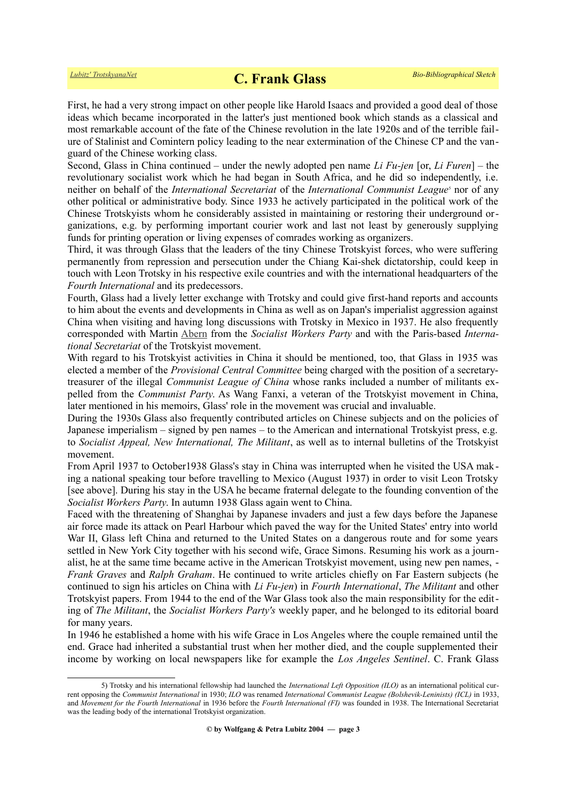First, he had a very strong impact on other people like Harold Isaacs and provided a good deal of those ideas which became incorporated in the latter's just mentioned book which stands as a classical and most remarkable account of the fate of the Chinese revolution in the late 1920s and of the terrible failure of Stalinist and Comintern policy leading to the near extermination of the Chinese CP and the vanguard of the Chinese working class.

Second, Glass in China continued – under the newly adopted pen name *Li Fu-jen* [or, *Li Furen*] – the revolutionary socialist work which he had began in South Africa, and he did so independently, i.e. neitheron behalf of the *International Secretariat* of the *International Communist League*<sup>5</sup> nor of any other political or administrative body. Since 1933 he actively participated in the political work of the Chinese Trotskyists whom he considerably assisted in maintaining or restoring their underground organizations, e.g. by performing important courier work and last not least by generously supplying funds for printing operation or living expenses of comrades working as organizers.

Third, it was through Glass that the leaders of the tiny Chinese Trotskyist forces, who were suffering permanently from repression and persecution under the Chiang Kai-shek dictatorship, could keep in touch with Leon Trotsky in his respective exile countries and with the international headquarters of the *Fourth International* and its predecessors.

Fourth, Glass had a lively letter exchange with Trotsky and could give first-hand reports and accounts to him about the events and developments in China as well as on Japan's imperialist aggression against China when visiting and having long discussions with Trotsky in Mexico in 1937. He also frequently corresponded with Martin [Abern](https://www.trotskyana.net/Trotskyists/Bio-Bibliographies/bio-bibl_abern.pdf) from the *Socialist Workers Party* and with the Paris-based *International Secretariat* of the Trotskyist movement.

With regard to his Trotskyist activities in China it should be mentioned, too, that Glass in 1935 was elected a member of the *Provisional Central Committee* being charged with the position of a secretarytreasurer of the illegal *Communist League of China* whose ranks included a number of militants expelled from the *Communist Party*. As Wang Fanxi, a veteran of the Trotskyist movement in China, later mentioned in his memoirs, Glass' role in the movement was crucial and invaluable.

During the 1930s Glass also frequently contributed articles on Chinese subjects and on the policies of Japanese imperialism – signed by pen names – to the American and international Trotskyist press, e.g. to *Socialist Appeal, New International, The Militant*, as well as to internal bulletins of the Trotskyist movement.

From April 1937 to October1938 Glass's stay in China was interrupted when he visited the USA mak ing a national speaking tour before travelling to Mexico (August 1937) in order to visit Leon Trotsky [see above]. During his stay in the USA he became fraternal delegate to the founding convention of the *Socialist Workers Party*. In autumn 1938 Glass again went to China.

Faced with the threatening of Shanghai by Japanese invaders and just a few days before the Japanese air force made its attack on Pearl Harbour which paved the way for the United States' entry into world War II, Glass left China and returned to the United States on a dangerous route and for some years settled in New York City together with his second wife, Grace Simons. Resuming his work as a journalist, he at the same time became active in the American Trotskyist movement, using new pen names, - *Frank Graves* and *Ralph Graham*. He continued to write articles chiefly on Far Eastern subjects (he continued to sign his articles on China with *Li Fu-jen*) in *Fourth International*, *The Militant* and other Trotskyist papers. From 1944 to the end of the War Glass took also the main responsibility for the editing of *The Militant*, the *Socialist Workers Party's* weekly paper, and he belonged to its editorial board for many years.

In 1946 he established a home with his wife Grace in Los Angeles where the couple remained until the end. Grace had inherited a substantial trust when her mother died, and the couple supplemented their income by working on local newspapers like for example the *Los Angeles Sentinel*. C. Frank Glass

<span id="page-2-0"></span><sup>5)</sup> Trotsky and his international fellowship had launched the *International Left Opposition (ILO)* as an international political current opposing the *Communist International* in 1930; *ILO* was renamed *International Communist League (Bolshevik-Leninists) (ICL)* in 1933, and *Movement for the Fourth International* in 1936 before the *Fourth International (FI)* was founded in 1938. The International Secretariat was the leading body of the international Trotskyist organization.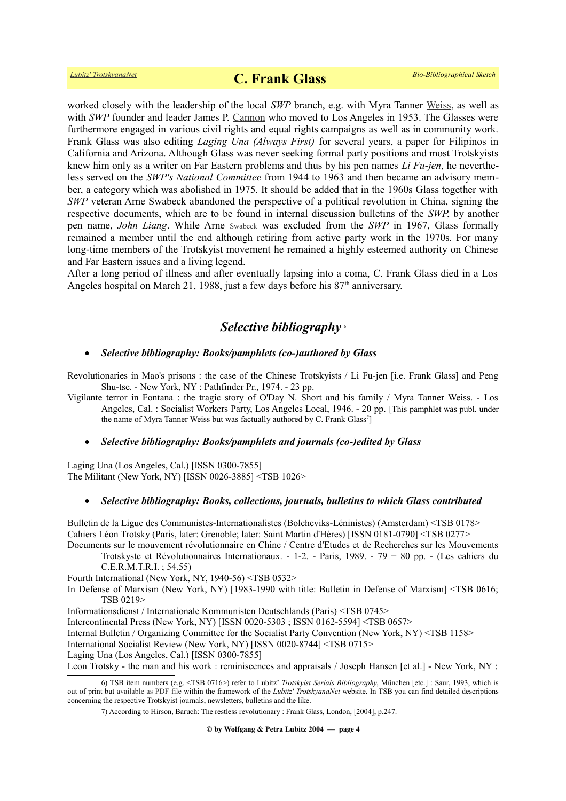worked closely with the leadership of the local *SWP* branch, e.g. with Myra Tanner [Weiss,](https://en.wikipedia.org/wiki/Myra_Tanner_Weiss) as well as with *SWP* founder and leader James P. [Cannon](https://www.trotskyana.net/Trotskyists/Bio-Bibliographies/bio-bibl_cannon.pdf) who moved to Los Angeles in 1953. The Glasses were furthermore engaged in various civil rights and equal rights campaigns as well as in community work. Frank Glass was also editing *Laging Una (Always First)* for several years, a paper for Filipinos in California and Arizona. Although Glass was never seeking formal party positions and most Trotskyists knew him only as a writer on Far Eastern problems and thus by his pen names *Li Fu-jen*, he nevertheless served on the *SWP's National Committee* from 1944 to 1963 and then became an advisory member, a category which was abolished in 1975. It should be added that in the 1960s Glass together with *SWP* veteran Arne Swabeck abandoned the perspective of a political revolution in China, signing the respective documents, which are to be found in internal discussion bulletins of the *SWP*, by another pen name, *John Liang*. While Arne [Swabeck](https://en.wikipedia.org/wiki/Arne_Swabeck) was excluded from the *SWP* in 1967, Glass formally remained a member until the end although retiring from active party work in the 1970s. For many long-time members of the Trotskyist movement he remained a highly esteemed authority on Chinese and Far Eastern issues and a living legend.

After a long period of illness and after eventually lapsing into a coma, C. Frank Glass died in a Los Angeles hospital on March 21, 1988, just a few days before his  $87<sup>th</sup>$  anniversary.

### *Selective bibliography* [6](#page-3-0)

#### *Selective bibliography: Books/pamphlets (co-)authored by Glass*

Revolutionaries in Mao's prisons : the case of the Chinese Trotskyists / Li Fu-jen [i.e. Frank Glass] and Peng Shu-tse. - New York, NY : Pathfinder Pr., 1974. - 23 pp.

Vigilante terror in Fontana : the tragic story of O'Day N. Short and his family / Myra Tanner Weiss. - Los Angeles, Cal. : Socialist Workers Party, Los Angeles Local, 1946. - 20 pp. [This pamphlet was publ. under the name of Myra Tanner Weiss but was factually authored by C. Frank Glass<sup>[7](#page-3-1)</sup>]

### *Selective bibliography: Books/pamphlets and journals (co-)edited by Glass*

Laging Una (Los Angeles, Cal.) [ISSN 0300-7855] The Militant (New York, NY) [ISSN 0026-3885] <TSB 1026>

#### *Selective bibliography: Books, collections, journals, bulletins to which Glass contributed*

Bulletin de la Ligue des Communistes-Internationalistes (Bolcheviks-Léninistes) (Amsterdam) <TSB 0178> Cahiers Léon Trotsky (Paris, later: Grenoble; later: Saint Martin d'Hères) [ISSN 0181-0790] <TSB 0277>

Documents sur le mouvement révolutionnaire en Chine / Centre d'Etudes et de Recherches sur les Mouvements Trotskyste et Révolutionnaires Internationaux. - 1-2. - Paris, 1989. - 79 + 80 pp. - (Les cahiers du C.E.R.M.T.R.I. ; 54.55)

Fourth International (New York, NY, 1940-56) <TSB 0532>

In Defense of Marxism (New York, NY) [1983-1990 with title: Bulletin in Defense of Marxism] <TSB 0616; TSB 0219>

Informationsdienst / Internationale Kommunisten Deutschlands (Paris) <TSB 0745>

Intercontinental Press (New York, NY) [ISSN 0020-5303 ; ISSN 0162-5594] <TSB 0657>

Internal Bulletin / Organizing Committee for the Socialist Party Convention (New York, NY) <TSB 1158>

International Socialist Review (New York, NY) [ISSN 0020-8744] <TSB 0715>

Laging Una (Los Angeles, Cal.) [ISSN 0300-7855]

Leon Trotsky - the man and his work : reminiscences and appraisals / Joseph Hansen [et al.] - New York, NY :

**© by Wolfgang & Petra Lubitz 2004 — page 4**

<sup>6)</sup> TSB item numbers (e.g. <TSB 0716>) refer to Lubitz' *Trotskyist Serials Bibliography*, München [etc.] : Saur, 1993, which is out of print but [available as PDF file](https://www.trotskyana.net/LubitzBibliographies/Serials_Bibliography/serials_bibliography.htm#PDF) within the framework of the *Lubitz' TrotskyanaNet* website. In TSB you can find detailed descriptions concerning the respective Trotskyist journals, newsletters, bulletins and the like.

<span id="page-3-1"></span><span id="page-3-0"></span><sup>7)</sup> According to Hirson, Baruch: The restless revolutionary : Frank Glass, London, [2004], p.247.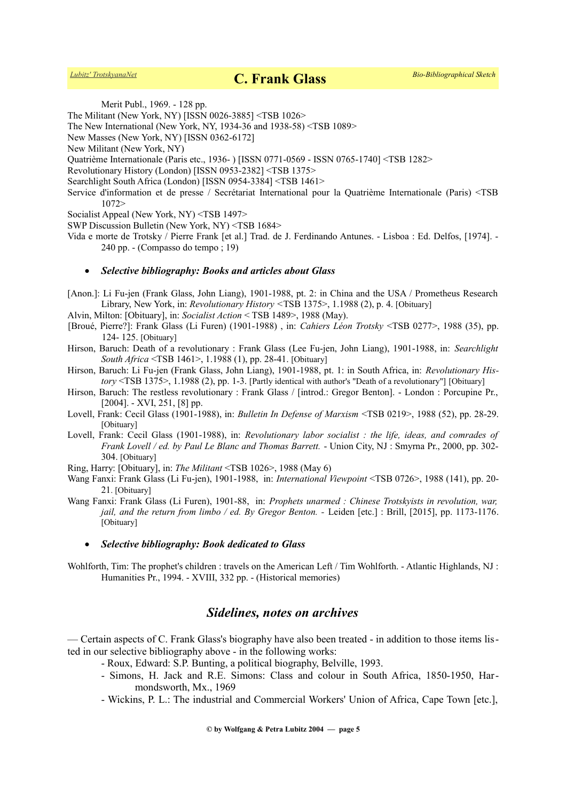Merit Publ., 1969. - 128 pp.

The Militant (New York, NY) [ISSN 0026-3885] <TSB 1026>

The New International (New York, NY, 1934-36 and 1938-58) <TSB 1089>

New Masses (New York, NY) [ISSN 0362-6172]

New Militant (New York, NY)

Quatrième Internationale (Paris etc., 1936- ) [ISSN 0771-0569 - ISSN 0765-1740] <TSB 1282>

Revolutionary History (London) [ISSN 0953-2382] <TSB 1375>

- Searchlight South Africa (London) [ISSN 0954-3384] <TSB 1461>
- Service d'information et de presse / Secrétariat International pour la Quatrième Internationale (Paris) <TSB 1072>

Socialist Appeal (New York, NY) <TSB 1497>

SWP Discussion Bulletin (New York, NY) <TSB 1684>

Vida e morte de Trotsky / Pierre Frank [et al.] Trad. de J. Ferdinando Antunes. - Lisboa : Ed. Delfos, [1974]. - 240 pp. - (Compasso do tempo ; 19)

#### *Selective bibliography: Books and articles about Glass*

- [Anon.]: Li Fu-jen (Frank Glass, John Liang), 1901-1988, pt. 2: in China and the USA / Prometheus Research Library, New York, in: *Revolutionary History <*TSB 1375>, 1.1988 (2), p. 4. [Obituary]
- Alvin, Milton: [Obituary], in: *Socialist Action* < TSB 1489>, 1988 (May).
- [Broué, Pierre?]: Frank Glass (Li Furen) (1901-1988) , in: *Cahiers Léon Trotsky* <TSB 0277>, 1988 (35), pp. 124- 125. [Obituary]
- Hirson, Baruch: Death of a revolutionary : Frank Glass (Lee Fu-jen, John Liang), 1901-1988, in: *Searchlight South Africa* <TSB 1461>, 1.1988 (1), pp. 28-41. [Obituary]
- Hirson, Baruch: Li Fu-jen (Frank Glass, John Liang), 1901-1988, pt. 1: in South Africa, in: *Revolutionary History* <TSB 1375>, 1.1988 (2), pp. 1-3. [Partly identical with author's "Death of a revolutionary"] [Obituary]

Hirson, Baruch: The restless revolutionary : Frank Glass / [introd.: Gregor Benton]. - London : Porcupine Pr., [2004]. - XVI, 251, [8] pp.

- Lovell, Frank: Cecil Glass (1901-1988), in: *Bulletin In Defense of Marxism* <TSB 0219>, 1988 (52), pp. 28-29. [Obituary]
- Lovell, Frank: Cecil Glass (1901-1988), in: *Revolutionary labor socialist : the life, ideas, and comrades of Frank Lovell / ed. by Paul Le Blanc and Thomas Barrett.* - Union City, NJ : Smyrna Pr., 2000, pp. 302- 304. [Obituary]
- Ring, Harry: [Obituary], in: *The Militant* <TSB 1026>, 1988 (May 6)
- Wang Fanxi: Frank Glass (Li Fu-jen), 1901-1988, in: *International Viewpoint* <TSB 0726>, 1988 (141), pp. 20- 21. [Obituary]
- Wang Fanxi: Frank Glass (Li Furen), 1901-88, in: *Prophets unarmed : Chinese Trotskyists in revolution, war, jail, and the return from limbo / ed. By Gregor Benton. - Leiden [etc.]* : Brill, [2015], pp. 1173-1176. [Obituary]
	- *Selective bibliography: Book dedicated to Glass*
- Wohlforth, Tim: The prophet's children : travels on the American Left / Tim Wohlforth. Atlantic Highlands, NJ : Humanities Pr., 1994. - XVIII, 332 pp. - (Historical memories)

# *Sidelines, notes on archives*

— Certain aspects of C. Frank Glass's biography have also been treated - in addition to those items listed in our selective bibliography above - in the following works:

- Roux, Edward: S.P. Bunting, a political biography, Belville, 1993.
- Simons, H. Jack and R.E. Simons: Class and colour in South Africa, 1850-1950, Harmondsworth, Mx., 1969
- Wickins, P. L.: The industrial and Commercial Workers' Union of Africa, Cape Town [etc.],